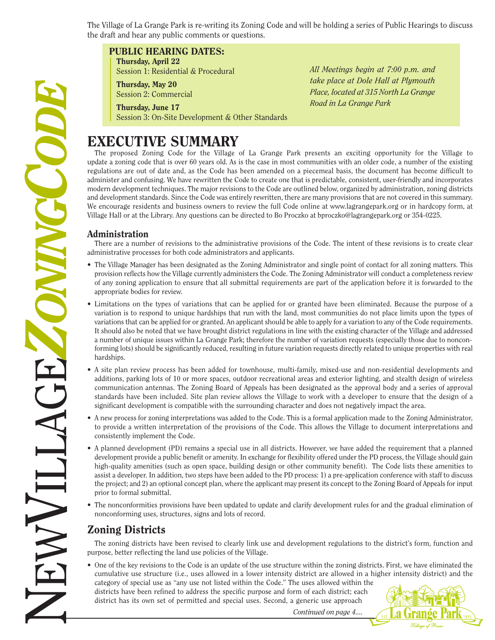The Village of La Grange Park is re-writing its Zoning Code and will be holding a series of Public Hearings to discuss the draft and hear any public comments or questions.

# **PUBLIC HEARING DATES:**

**Thursday, April 22** Session 1: Residential & Procedural

**Thursday, May 20** Session 2: Commercial

**Thursday, June 17** Session 3: On-Site Development & Other Standards

# **EXECUTIVE SUMMARY**

*All Meetings begin at 7:00 p.m. and take place at Dole Hall at Plymouth Place, located at 315 North La Grange Road in La Grange Park*

The proposed Zoning Code for the Village of La Grange Park presents an exciting opportunity for the Village to update a zoning code that is over 60 years old. As is the case in most communities with an older code, a number of the existing regulations are out of date and, as the Code has been amended on a piecemeal basis, the document has become difficult to administer and confusing. We have rewritten the Code to create one that is predictable, consistent, user-friendly and incorporates modern development techniques. The major revisions to the Code are outlined below, organized by administration, zoning districts and development standards. Since the Code was entirely rewritten, there are many provisions that are not covered in this summary. We encourage residents and business owners to review the full Code online at www.lagrangepark.org or in hardcopy form, at Village Hall or at the Library. Any questions can be directed to Bo Proczko at bproczko@lagrangepark.org or 354-0225.

# **Administration**

There are a number of revisions to the administrative provisions of the Code. The intent of these revisions is to create clear administrative processes for both code administrators and applicants.

- The Village Manager has been designated as the Zoning Administrator and single point of contact for all zoning matters. This provision reflects how the Village currently administers the Code. The Zoning Administrator will conduct a completeness review of any zoning application to ensure that all submittal requirements are part of the application before it is forwarded to the appropriate bodies for review.
- Limitations on the types of variations that can be applied for or granted have been eliminated. Because the purpose of a variation is to respond to unique hardships that run with the land, most communities do not place limits upon the types of variations that can be applied for or granted. An applicant should be able to apply for a variation to any of the Code requirements. It should also be noted that we have brought district regulations in line with the existing character of the Village and addressed a number of unique issues within La Grange Park; therefore the number of variation requests (especially those due to nonconforming lots) should be significantly reduced, resulting in future variation requests directly related to unique properties with real hardships.
- A site plan review process has been added for townhouse, multi-family, mixed-use and non-residential developments and additions, parking lots of 10 or more spaces, outdoor recreational areas and exterior lighting, and stealth design of wireless communication antennas. The Zoning Board of Appeals has been designated as the approval body and a series of approval standards have been included. Site plan review allows the Village to work with a developer to ensure that the design of a significant development is compatible with the surrounding character and does not negatively impact the area.
- A new process for zoning interpretations was added to the Code. This is a formal application made to the Zoning Administrator, to provide a written interpretation of the provisions of the Code. This allows the Village to document interpretations and consistently implement the Code.
- A planned development (PD) remains a special use in all districts. However, we have added the requirement that a planned development provide a public benefit or amenity. In exchange for flexibility offered under the PD process, the Village should gain high-quality amenities (such as open space, building design or other community benefit). The Code lists these amenities to assist a developer. In addition, two steps have been added to the PD process: 1) a pre-application conference with staff to discuss the project; and 2) an optional concept plan, where the applicant may present its concept to the Zoning Board of Appeals for input prior to formal submittal.
- The nonconformities provisions have been updated to update and clarify development rules for and the gradual elimination of nonconforming uses, structures, signs and lots of record.

# **Zoning Districts**

The zoning districts have been revised to clearly link use and development regulations to the district's form, function and purpose, better reflecting the land use policies of the Village.

• One of the key revisions to the Code is an update of the use structure within the zoning districts. First, we have eliminated the cumulative use structure (i.e., uses allowed in a lower intensity district are allowed in a higher intensity district) and the category of special use as "any use not listed within the Code." The uses allowed within the districts have been refined to address the specific purpose and form of each district; each district has its own set of permitted and special uses. Second, a generic use approach

**La Gr** 

*Continued on page 4....*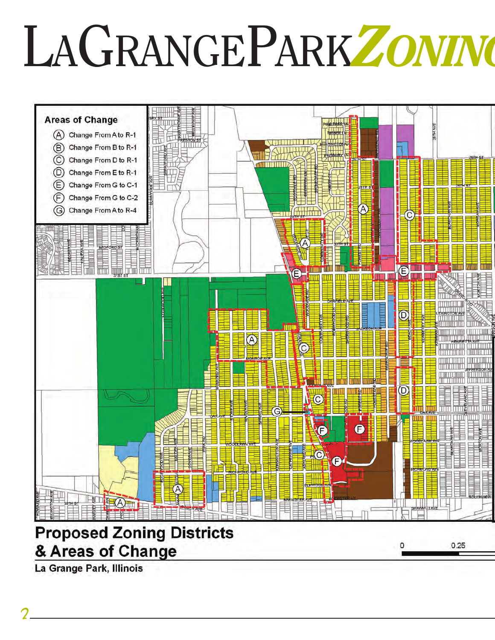# LAGRANGEPARK*ZONING*



La Grange Park, Illinois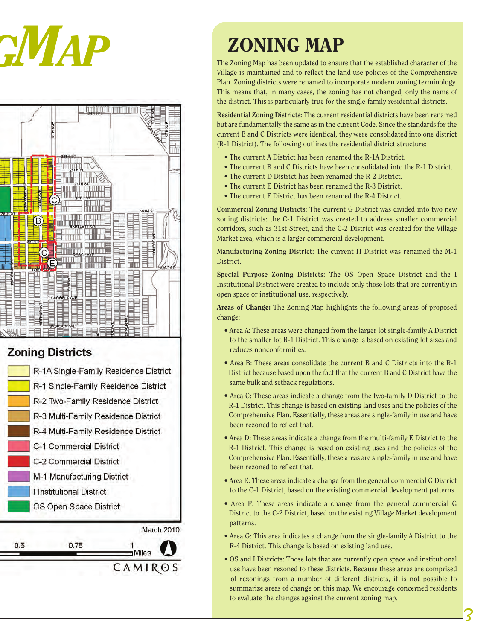



# **Zoning Districts**





The Zoning Map has been updated to ensure that the established character of the Village is maintained and to reflect the land use policies of the Comprehensive Plan. Zoning districts were renamed to incorporate modern zoning terminology. This means that, in many cases, the zoning has not changed, only the name of the district. This is particularly true for the single-family residential districts.

**Residential Zoning Districts:** The current residential districts have been renamed but are fundamentally the same as in the current Code. Since the standards for the current B and C Districts were identical, they were consolidated into one district (R-1 District). The following outlines the residential district structure:

- The current A District has been renamed the R-1A District.
- The current B and C Districts have been consolidated into the R-1 District.
- The current D District has been renamed the R-2 District.
- The current E District has been renamed the R-3 District.
- The current F District has been renamed the R-4 District.

**Commercial Zoning Districts:** The current G District was divided into two new zoning districts: the C-1 District was created to address smaller commercial corridors, such as 31st Street, and the C-2 District was created for the Village Market area, which is a larger commercial development.

**Manufacturing Zoning District:** The current H District was renamed the M-1 District.

**Special Purpose Zoning Districts:** The OS Open Space District and the I Institutional District were created to include only those lots that are currently in open space or institutional use, respectively.

**Areas of Change:** The Zoning Map highlights the following areas of proposed change:

- Area A: These areas were changed from the larger lot single-family A District to the smaller lot R-1 District. This change is based on existing lot sizes and reduces nonconformities.
- Area B: These areas consolidate the current B and C Districts into the R-1 District because based upon the fact that the current B and C District have the same bulk and setback regulations.
- Area C: These areas indicate a change from the two-family D District to the R-1 District. This change is based on existing land uses and the policies of the Comprehensive Plan. Essentially, these areas are single-family in use and have been rezoned to reflect that.
- Area D: These areas indicate a change from the multi-family E District to the R-1 District. This change is based on existing uses and the policies of the Comprehensive Plan. Essentially, these areas are single-family in use and have been rezoned to reflect that.
- Area E: These areas indicate a change from the general commercial G District to the C-1 District, based on the existing commercial development patterns.
- Area F: These areas indicate a change from the general commercial G District to the C-2 District, based on the existing Village Market development patterns.
- Area G: This area indicates a change from the single-family A District to the R-4 District. This change is based on existing land use.
- OS and I Districts: Those lots that are currently open space and institutional use have been rezoned to these districts. Because these areas are comprised of rezonings from a number of different districts, it is not possible to summarize areas of change on this map. We encourage concerned residents to evaluate the changes against the current zoning map.